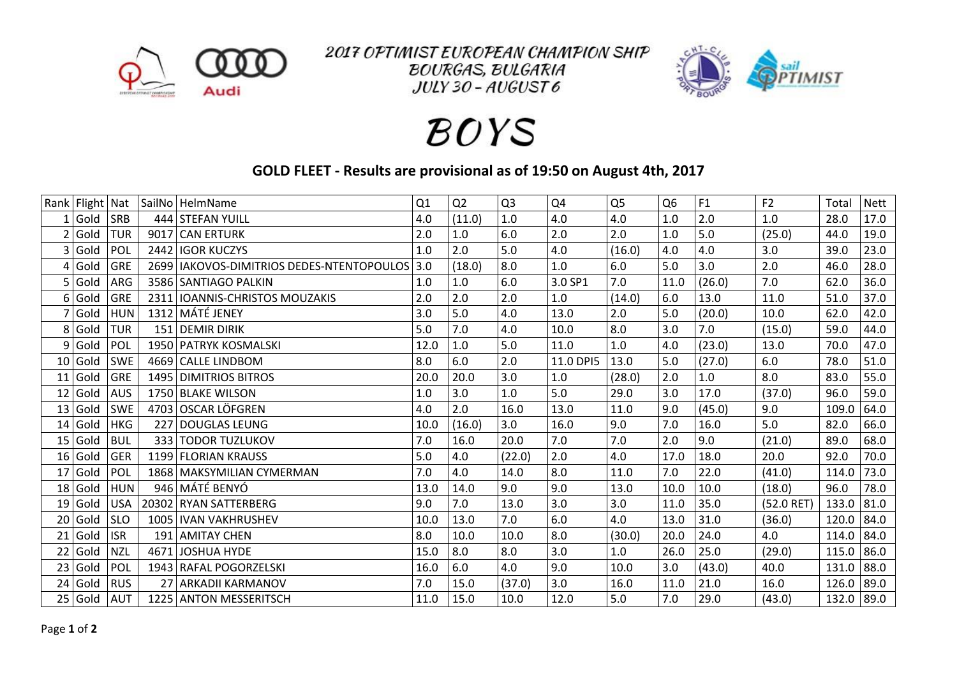

2017 OPTIMIST EUROPEAN CHAMPION SHIP **BOURGAS, BULGARIA**  $JULY$  30 -  $AUGUST6$ 



## **BOYS**

## **GOLD FLEET - Results are provisional as of 19:50 on August 4th, 2017**

|                | Rank Flight | Nat        |      | SailNo HelmName                             | Q1   | Q <sub>2</sub> | Q <sub>3</sub> | Q4        | Q <sub>5</sub> | Q <sub>6</sub> | F <sub>1</sub> | F <sub>2</sub> | Total | <b>Nett</b> |
|----------------|-------------|------------|------|---------------------------------------------|------|----------------|----------------|-----------|----------------|----------------|----------------|----------------|-------|-------------|
|                | Gold        | <b>SRB</b> |      | 444 STEFAN YUILL                            | 4.0  | (11.0)         | 1.0            | 4.0       | 4.0            | 1.0            | 2.0            | 1.0            | 28.0  | 17.0        |
| 2              | Gold        | <b>TUR</b> |      | 9017 CAN ERTURK                             | 2.0  | $1.0\,$        | 6.0            | 2.0       | 2.0            | 1.0            | 5.0            | (25.0)         | 44.0  | 19.0        |
| 3              | Gold        | POL        |      | 2442 IGOR KUCZYS                            | 1.0  | 2.0            | 5.0            | 4.0       | (16.0)         | 4.0            | 4.0            | 3.0            | 39.0  | 23.0        |
| 4              | Gold        | <b>GRE</b> |      | 2699   IAKOVOS-DIMITRIOS DEDES-NTENTOPOULOS | 3.0  | (18.0)         | 8.0            | 1.0       | 6.0            | 5.0            | 3.0            | 2.0            | 46.0  | 28.0        |
| 5              | Gold        | ARG        |      | 3586 SANTIAGO PALKIN                        | 1.0  | 1.0            | 6.0            | 3.0 SP1   | 7.0            | 11.0           | (26.0)         | 7.0            | 62.0  | 36.0        |
| 6              | Gold        | <b>GRE</b> |      | 2311   IOANNIS-CHRISTOS MOUZAKIS            | 2.0  | 2.0            | 2.0            | 1.0       | (14.0)         | 6.0            | 13.0           | 11.0           | 51.0  | 37.0        |
|                | Gold        | <b>HUN</b> |      | 1312 MÁTÉ JENEY                             | 3.0  | 5.0            | 4.0            | 13.0      | 2.0            | 5.0            | (20.0)         | 10.0           | 62.0  | 42.0        |
| 8 <sub>1</sub> | Gold        | <b>TUR</b> |      | 151 DEMIR DIRIK                             | 5.0  | 7.0            | 4.0            | 10.0      | 8.0            | 3.0            | 7.0            | (15.0)         | 59.0  | 44.0        |
| 9              | Gold        | POL        |      | 1950 PATRYK KOSMALSKI                       | 12.0 | 1.0            | 5.0            | 11.0      | 1.0            | 4.0            | (23.0)         | 13.0           | 70.0  | 47.0        |
| 10             | Gold        | <b>SWE</b> |      | 4669 CALLE LINDBOM                          | 8.0  | 6.0            | 2.0            | 11.0 DPI5 | 13.0           | 5.0            | (27.0)         | 6.0            | 78.0  | 51.0        |
| 11             | Gold        | <b>GRE</b> |      | 1495 DIMITRIOS BITROS                       | 20.0 | 20.0           | 3.0            | $1.0\,$   | (28.0)         | 2.0            | 1.0            | 8.0            | 83.0  | 55.0        |
| 12             | Gold        | <b>AUS</b> |      | 1750 BLAKE WILSON                           | 1.0  | 3.0            | 1.0            | 5.0       | 29.0           | 3.0            | 17.0           | (37.0)         | 96.0  | 59.0        |
| 13             | Gold        | <b>SWE</b> |      | 4703 OSCAR LÖFGREN                          | 4.0  | 2.0            | 16.0           | 13.0      | 11.0           | 9.0            | (45.0)         | 9.0            | 109.0 | 64.0        |
| 14             | Gold        | <b>HKG</b> |      | 227 DOUGLAS LEUNG                           | 10.0 | (16.0)         | 3.0            | 16.0      | 9.0            | 7.0            | 16.0           | 5.0            | 82.0  | 66.0        |
| 15             | Gold        | <b>BUL</b> |      | 333 TODOR TUZLUKOV                          | 7.0  | 16.0           | 20.0           | 7.0       | 7.0            | 2.0            | 9.0            | (21.0)         | 89.0  | 68.0        |
| 16             | Gold        | <b>GER</b> |      | 1199 FLORIAN KRAUSS                         | 5.0  | 4.0            | (22.0)         | 2.0       | 4.0            | 17.0           | 18.0           | 20.0           | 92.0  | 70.0        |
| 17             | Gold        | POL        |      | 1868 MAKSYMILIAN CYMERMAN                   | 7.0  | 4.0            | 14.0           | 8.0       | 11.0           | 7.0            | 22.0           | (41.0)         | 114.0 | 73.0        |
| 18             | Gold        | <b>HUN</b> |      | 946 MÁTÉ BENYÓ                              | 13.0 | 14.0           | 9.0            | 9.0       | 13.0           | 10.0           | 10.0           | (18.0)         | 96.0  | 78.0        |
| 19             | Gold        | <b>USA</b> |      | 20302 RYAN SATTERBERG                       | 9.0  | 7.0            | 13.0           | 3.0       | 3.0            | 11.0           | 35.0           | $(52.0$ RET)   | 133.0 | 81.0        |
| 20             | Gold        | <b>SLO</b> |      | 1005   IVAN VAKHRUSHEV                      | 10.0 | 13.0           | 7.0            | 6.0       | 4.0            | 13.0           | 31.0           | (36.0)         | 120.0 | 84.0        |
| 21             | Gold        | <b>ISR</b> |      | 191 AMITAY CHEN                             | 8.0  | 10.0           | 10.0           | 8.0       | (30.0)         | 20.0           | 24.0           | 4.0            | 114.0 | 84.0        |
| 22             | Gold        | <b>NZL</b> | 4671 | JOSHUA HYDE                                 | 15.0 | 8.0            | 8.0            | 3.0       | 1.0            | 26.0           | 25.0           | (29.0)         | 115.0 | 86.0        |
| 23             | Gold        | <b>POL</b> |      | 1943 RAFAL POGORZELSKI                      | 16.0 | 6.0            | 4.0            | 9.0       | 10.0           | 3.0            | (43.0)         | 40.0           | 131.0 | 88.0        |
| 24             | Gold        | <b>RUS</b> | 27   | <b>ARKADII KARMANOV</b>                     | 7.0  | 15.0           | (37.0)         | 3.0       | 16.0           | 11.0           | 21.0           | 16.0           | 126.0 | 89.0        |
|                | 25 Gold     | <b>AUT</b> |      | 1225 ANTON MESSERITSCH                      | 11.0 | 15.0           | 10.0           | 12.0      | 5.0            | 7.0            | 29.0           | (43.0)         | 132.0 | 89.0        |
|                |             |            |      |                                             |      |                |                |           |                |                |                |                |       |             |